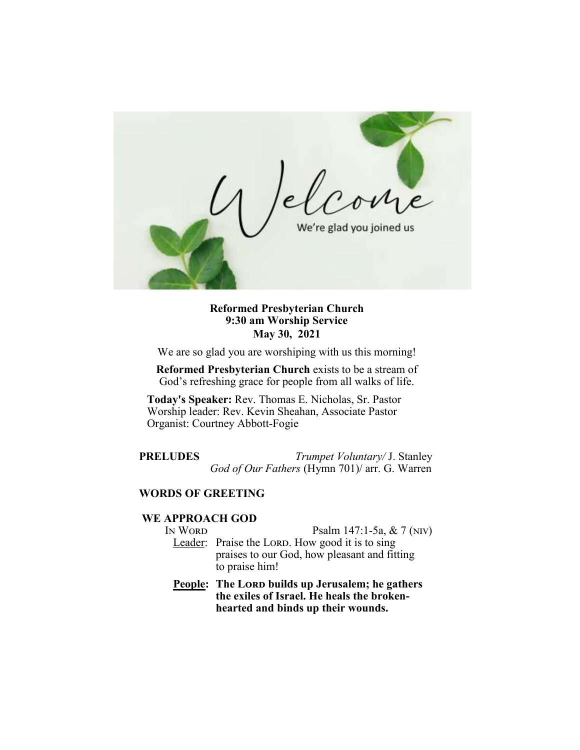

**Reformed Presbyterian Church 9:30 am Worship Service May 30, 2021** 

We are so glad you are worshiping with us this morning!

**Reformed Presbyterian Church** exists to be a stream of God's refreshing grace for people from all walks of life.

**Today's Speaker:** Rev. Thomas E. Nicholas, Sr. Pastor Worship leader: Rev. Kevin Sheahan, Associate Pastor Organist: Courtney Abbott-Fogie

**PRELUDES** *Trumpet Voluntary/* J. Stanley *God of Our Fathers* (Hymn 701)/ arr. G. Warren

### **WORDS OF GREETING**

# **WE APPROACH GOD**<br>IN WORD

- Psalm 147:1-5a,  $& 7 \text{ (NIV)}$ Leader: Praise the LORD. How good it is to sing praises to our God, how pleasant and fitting
- to praise him! **People:** The LORD builds up Jerusalem; he gathers **the exiles of Israel. He heals the brokenhearted and binds up their wounds.**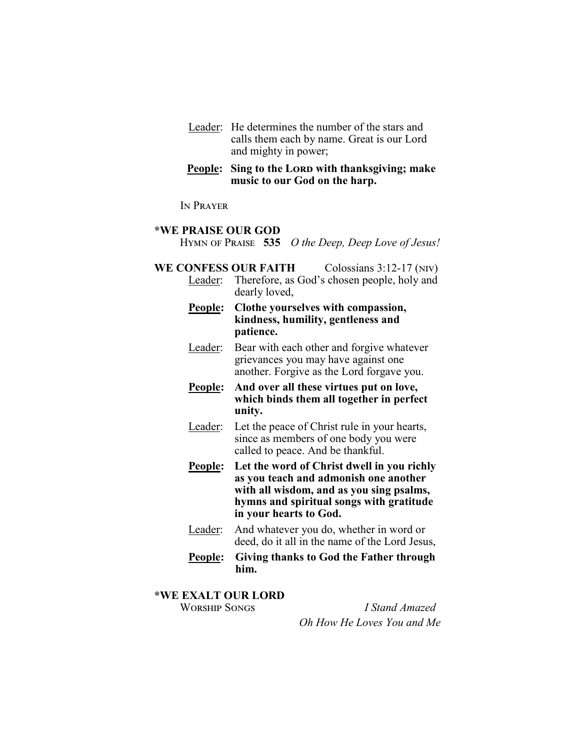Leader: He determines the number of the stars and calls them each by name. Great is our Lord and mighty in power;

### **People:** Sing to the LORD with thanksgiving; make **music to our God on the harp.**

IN PRAYER

### **\*WE PRAISE OUR GOD**

HYMN OF PRAISE 535 *O the Deep, Deep Love of Jesus!* 

### **WE CONFESS OUR FAITH** Colossians 3:12-17 (NIV)

Leader: Therefore, as God's chosen people, holy and dearly loved,

### **People: Clothe yourselves with compassion, kindness, humility, gentleness and patience.**

- Leader: Bear with each other and forgive whatever grievances you may have against one another. Forgive as the Lord forgave you.
- **People: And over all these virtues put on love, which binds them all together in perfect unity.**
- Leader: Let the peace of Christ rule in your hearts, since as members of one body you were called to peace. And be thankful.

### **People: Let the word of Christ dwell in you richly as you teach and admonish one another with all wisdom, and as you sing psalms, hymns and spiritual songs with gratitude in your hearts to God.**

- Leader: And whatever you do, whether in word or deed, do it all in the name of the Lord Jesus,
- **People: Giving thanks to God the Father through him.**

### **\*WE EXALT OUR LORD**

WORSHIP SONGS **I** Stand Amazed  *Oh How He Loves You and Me*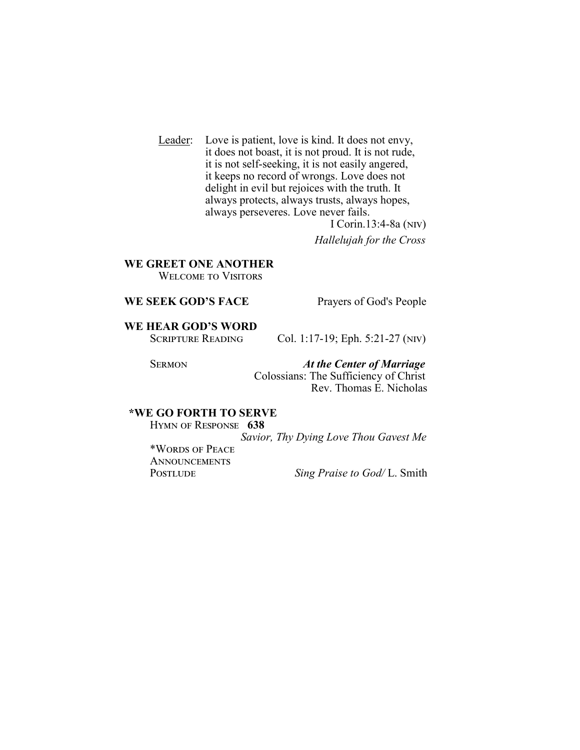Leader: Love is patient, love is kind. It does not envy, it does not boast, it is not proud. It is not rude, it is not self-seeking, it is not easily angered, it keeps no record of wrongs. Love does not delight in evil but rejoices with the truth. It always protects, always trusts, always hopes, always perseveres. Love never fails. I Corin. $13:4-8a$  (NIV)

 *Hallelujah for the Cross* 

### **WE GREET ONE ANOTHER**

WELCOME TO VISITORS

### WE SEEK GOD'S FACE Prayers of God's People

# **WE HEAR GOD'S WORD**

Col. 1:17-19; Eph. 5:21-27 ( $NIV$ )

SERMON **At the Center of Marriage** 

 Colossians: The Sufficiency of Christ Rev. Thomas E. Nicholas

# **\*WE GO FORTH TO SERVE**

HYMN OF RESPONSE 638

*Savior, Thy Dying Love Thou Gavest Me* 

\*WORDS OF PEACE ANNOUNCEMENTS<br>POSTLUDE

*Sing Praise to God/L. Smith*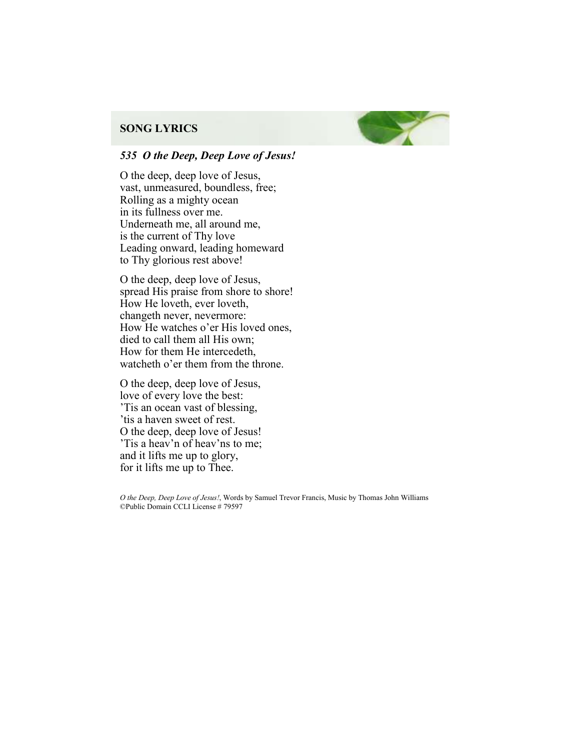### **SONG LYRICS**



### *535**O the Deep, Deep Love of Jesus!*

O the deep, deep love of Jesus, vast, unmeasured, boundless, free; Rolling as a mighty ocean in its fullness over me. Underneath me, all around me, is the current of Thy love Leading onward, leading homeward to Thy glorious rest above!

O the deep, deep love of Jesus, spread His praise from shore to shore! How He loveth, ever loveth, changeth never, nevermore: How He watches o'er His loved ones, died to call them all His own; How for them He intercedeth, watcheth o'er them from the throne.

O the deep, deep love of Jesus, love of every love the best: 'Tis an ocean vast of blessing, 'tis a haven sweet of rest. O the deep, deep love of Jesus! 'Tis a heav'n of heav'ns to me; and it lifts me up to glory, for it lifts me up to Thee.

*O the Deep, Deep Love of Jesus!*, Words by Samuel Trevor Francis, Music by Thomas John Williams ©Public Domain CCLI License # 79597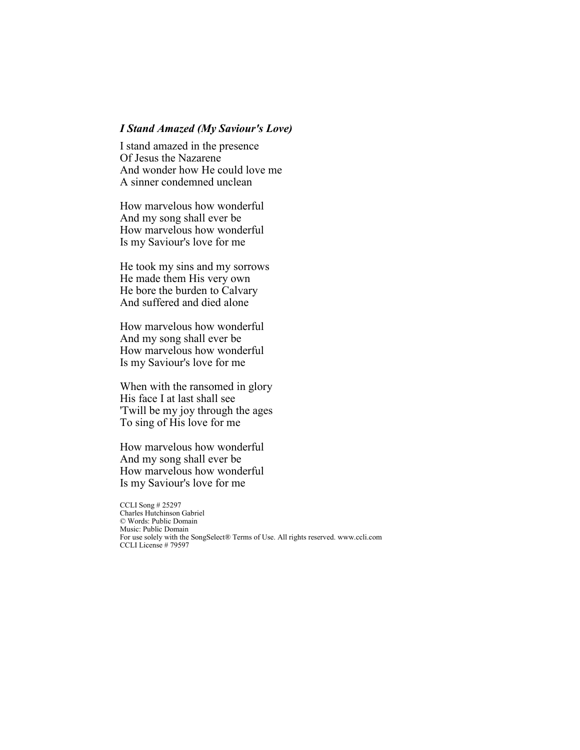### *I Stand Amazed (My Saviour's Love)*

I stand amazed in the presence Of Jesus the Nazarene And wonder how He could love me A sinner condemned unclean

How marvelous how wonderful And my song shall ever be How marvelous how wonderful Is my Saviour's love for me

He took my sins and my sorrows He made them His very own He bore the burden to Calvary And suffered and died alone

How marvelous how wonderful And my song shall ever be How marvelous how wonderful Is my Saviour's love for me

When with the ransomed in glory His face I at last shall see 'Twill be my joy through the ages To sing of His love for me

How marvelous how wonderful And my song shall ever be How marvelous how wonderful Is my Saviour's love for me

CCLI Song # 25297 Charles Hutchinson Gabriel © Words: Public Domain Music: Public Domain For use solely with the SongSelect® Terms of Use. All rights reserved. www.ccli.com CCLI License # 79597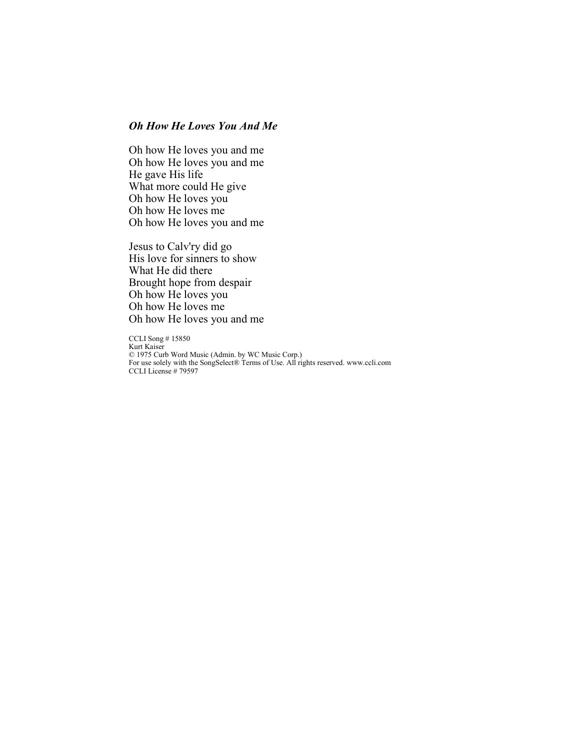### *Oh How He Loves You And Me*

Oh how He loves you and me Oh how He loves you and me He gave His life What more could He give Oh how He loves you Oh how He loves me Oh how He loves you and me

Jesus to Calv'ry did go His love for sinners to show What He did there Brought hope from despair Oh how He loves you Oh how He loves me Oh how He loves you and me

CCLI Song # 15850 Kurt Kaiser © 1975 Curb Word Music (Admin. by WC Music Corp.) For use solely with the SongSelect® Terms of Use. All rights reserved. www.ccli.com CCLI License # 79597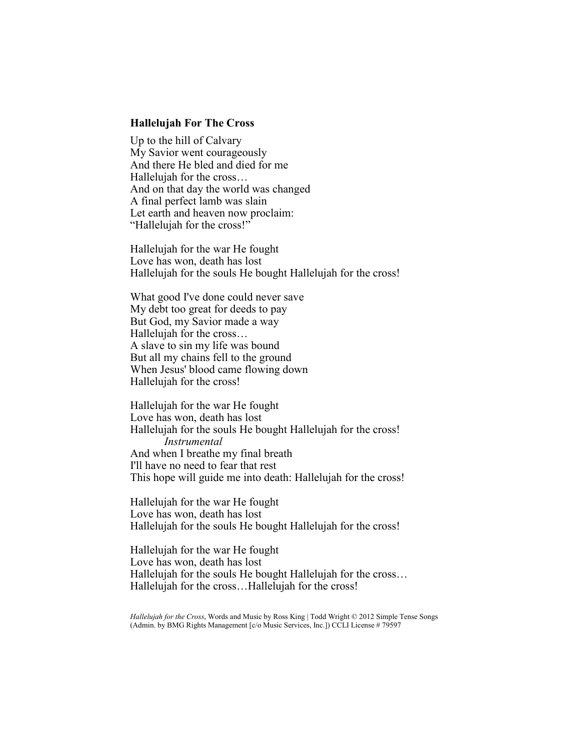#### **Hallelujah For The Cross**

Up to the hill of Calvary My Savior went courageously And there He bled and died for me Hallelujah for the cross… And on that day the world was changed A final perfect lamb was slain Let earth and heaven now proclaim: "Hallelujah for the cross!"

Hallelujah for the war He fought Love has won, death has lost Hallelujah for the souls He bought Hallelujah for the cross!

What good I've done could never save My debt too great for deeds to pay But God, my Savior made a way Hallelujah for the cross… A slave to sin my life was bound But all my chains fell to the ground When Jesus' blood came flowing down Hallelujah for the cross!

Hallelujah for the war He fought Love has won, death has lost Hallelujah for the souls He bought Hallelujah for the cross! *Instrumental*  And when I breathe my final breath I'll have no need to fear that rest This hope will guide me into death: Hallelujah for the cross!

Hallelujah for the war He fought Love has won, death has lost Hallelujah for the souls He bought Hallelujah for the cross!

Hallelujah for the war He fought Love has won, death has lost Hallelujah for the souls He bought Hallelujah for the cross… Hallelujah for the cross…Hallelujah for the cross!

*Hallelujah for the Cross*, Words and Music by Ross King | Todd Wright © 2012 Simple Tense Songs (Admin. by BMG Rights Management [c/o Music Services, Inc.]) CCLI License # 79597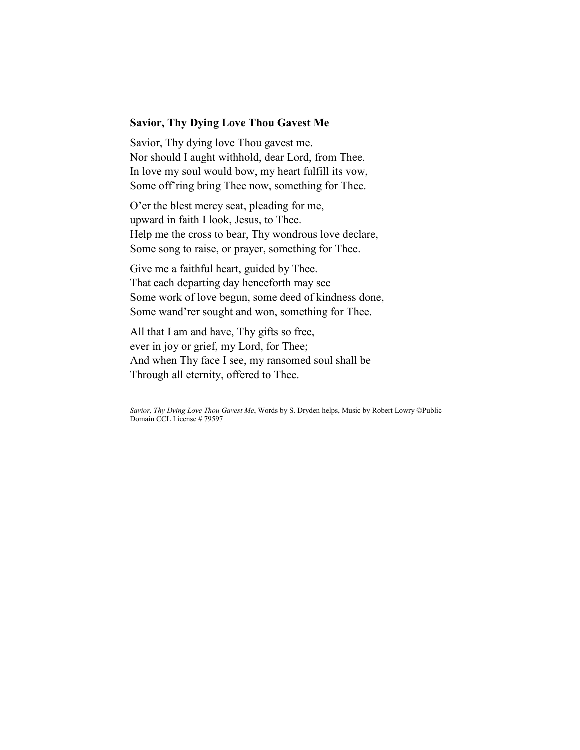### **Savior, Thy Dying Love Thou Gavest Me**

Savior, Thy dying love Thou gavest me. Nor should I aught withhold, dear Lord, from Thee. In love my soul would bow, my heart fulfill its vow, Some off'ring bring Thee now, something for Thee.

O'er the blest mercy seat, pleading for me, upward in faith I look, Jesus, to Thee. Help me the cross to bear, Thy wondrous love declare, Some song to raise, or prayer, something for Thee.

Give me a faithful heart, guided by Thee. That each departing day henceforth may see Some work of love begun, some deed of kindness done, Some wand'rer sought and won, something for Thee.

All that I am and have, Thy gifts so free, ever in joy or grief, my Lord, for Thee; And when Thy face I see, my ransomed soul shall be Through all eternity, offered to Thee.

*Savior, Thy Dying Love Thou Gavest Me*, Words by S. Dryden helps, Music by Robert Lowry ©Public Domain CCL License # 79597